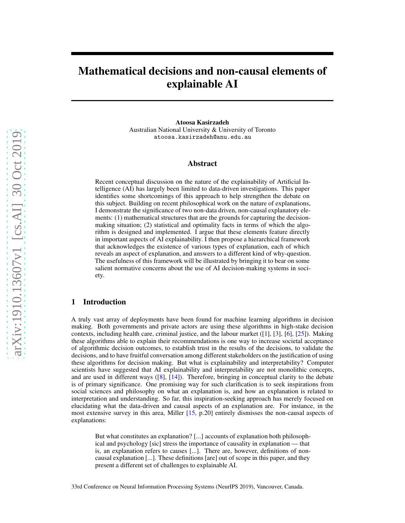# Mathematical decisions and non-causal elements of explainable AI

Atoosa Kasirzadeh Australian National University & University of Toronto atoosa.kasirzadeh@anu.edu.au

### Abstract

Recent conceptual discussion on the nature of the explainability of Artificial Intelligence (AI) has largely been limited to data-driven investigations. This paper identifies some shortcomings of this approach to help strengthen the debate on this subject. Building on recent philosophical work on the nature of explanations, I demonstrate the significance of two non-data driven, non-causal explanatory elements: (1) mathematical structures that are the grounds for capturing the decisionmaking situation; (2) statistical and optimality facts in terms of which the algorithm is designed and implemented. I argue that these elements feature directly in important aspects of AI explainability. I then propose a hierarchical framework that acknowledges the existence of various types of explanation, each of which reveals an aspect of explanation, and answers to a different kind of why-question. The usefulness of this framework will be illustrated by bringing it to bear on some salient normative concerns about the use of AI decision-making systems in society.

## 1 Introduction

A truly vast array of deployments have been found for machine learning algorithms in decision making. Both governments and private actors are using these algorithms in high-stake decision contexts, including health care, criminal justice, and the labour market ([\[1\]](#page-4-0), [\[3\]](#page-4-1), [\[6](#page-4-2)], [\[25](#page-5-0)]). Making these algorithms able to explain their recommendations is one way to increase societal acceptance of algorithmic decision outcomes, to establish trust in the results of the decisions, to validate the decisions, and to have fruitful conversation among different stakeholders on the justification of using these algorithms for decision making. But what is explainability and interpretability? Computer scientists have suggested that AI explainability and interpretability are not monolithic concepts, and are used in different ways ([\[8](#page-4-3)], [\[14\]](#page-5-1)). Therefore, bringing in conceptual clarity to the debate is of primary significance. One promising way for such clarification is to seek inspirations from social sciences and philosophy on what an explanation is, and how an explanation is related to interpretation and understanding. So far, this inspiration-seeking approach has merely focused on elucidating what the data-driven and causal aspects of an explanation are. For instance, in the most extensive survey in this area, Miller [\[15,](#page-5-2) p.20] entirely dismisses the non-causal aspects of explanations:

But what constitutes an explanation? [...] accounts of explanation both philosophical and psychology [sic] stress the importance of causality in explanation — that is, an explanation refers to causes [...]. There are, however, definitions of noncausal explanation [...]. These definitions [are] out of scope in this paper, and they present a different set of challenges to explainable AI.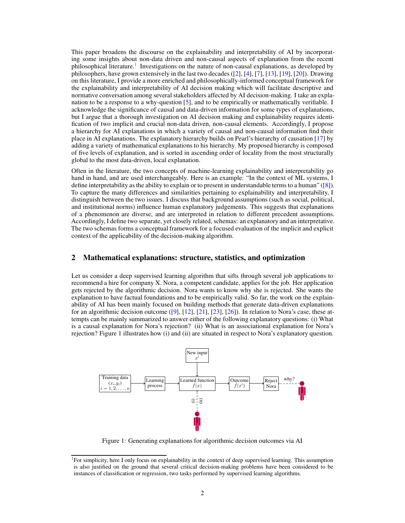This paper broadens the discourse on the explainability and interpretability of AI by incorporating some insights about non-data driven and non-causal aspects of explanation from the recent philosophical literature.<sup>[1](#page-1-0)</sup> Investigations on the nature of non-causal explanations, as developed by philosophers, have grown extensively in the last two decades ([\[2\]](#page-4-4), [\[4](#page-4-5)], [\[7](#page-4-6)], [\[13\]](#page-5-3), [\[19\]](#page-5-4), [\[20](#page-5-5)]). Drawing on this literature, I provide a more enriched and philosophically-informed conceptual framework for the explainability and interpretability of AI decision making which will facilitate descriptive and normative conversation among several stakeholders affected by AI decision-making. I take an explanation to be a response to a why-question [\[5\]](#page-4-7), and to be empirically or mathematically verifiable. I acknowledge the significance of causal and data-driven information for some types of explanations, but I argue that a thorough investigation on AI decision making and explainability requires identification of two implicit and crucial non-data driven, non-causal elements. Accordingly, I propose a hierarchy for AI explanations in which a variety of causal and non-causal information find their place in AI explanations. The explanatory hierarchy builds on Pearl's hierarchy of causation [\[17\]](#page-5-6) by adding a variety of mathematical explanations to his hierarchy. My proposed hierarchy is composed of five levels of explanation, and is sorted in ascending order of locality from the most structurally global to the most data-driven, local explanation.

Often in the literature, the two concepts of machine-learning explainability and interpretability go hand in hand, and are used interchangeably. Here is an example: "In the context of ML systems, I define interpretability as the ability to explain or to present in understandable terms to a human" ([\[8\]](#page-4-3)). To capture the many differences and similarities pertaining to explainability and interpretability, I distinguish between the two issues. I discuss that background assumptions (such as social, political, and institutional norms) influence human explanatory judgements. This suggests that explanations of a phenomenon are diverse, and are interpreted in relation to different precedent assumptions. Accordingly, I define two separate, yet closely related, schemas: an explanatory and an interpretative. The two schemas forms a conceptual framework for a focused evaluation of the implicit and explicit context of the applicability of the decision-making algorithm.

### 2 Mathematical explanations: structure, statistics, and optimization

Let us consider a deep supervised learning algorithm that sifts through several job applications to recommend a hire for company X. Nora, a competent candidate, applies for the job. Her application gets rejected by the algorithmic decision. Nora wants to know why she is rejected. She wants the explanation to have factual foundations and to be empirically valid. So far, the work on the explainability of AI has been mainly focused on building methods that generate data-driven explanations for an algorithmic decision outcome  $([9], [12], [21], [23], [26])$  $([9], [12], [21], [23], [26])$  $([9], [12], [21], [23], [26])$  $([9], [12], [21], [23], [26])$  $([9], [12], [21], [23], [26])$  $([9], [12], [21], [23], [26])$  $([9], [12], [21], [23], [26])$  $([9], [12], [21], [23], [26])$  $([9], [12], [21], [23], [26])$  $([9], [12], [21], [23], [26])$  $([9], [12], [21], [23], [26])$ . In relation to Nora's case, these attempts can be mainly summarized to answer either of the following explanatory questions: (i) What is a causal explanation for Nora's rejection? (ii) What is an associational explanation for Nora's rejection? Figure 1 illustrates how (i) and (ii) are situated in respect to Nora's explanatory question.



Figure 1: Generating explanations for algorithmic decision outcomes via AI

<span id="page-1-0"></span><sup>&</sup>lt;sup>1</sup>For simplicity, here I only focus on explainability in the context of deep supervised learning. This assumption is also justified on the ground that several critical decision-making problems have been considered to be instances of classification or regression, two tasks performed by supervised learning algorithms.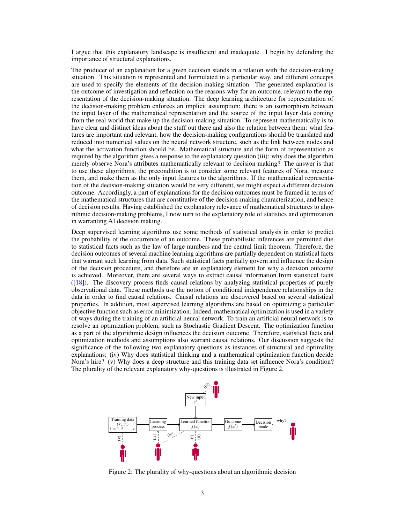I argue that this explanatory landscape is insufficient and inadequate. I begin by defending the importance of structural explanations.

The producer of an explanation for a given decision stands in a relation with the decision-making situation. This situation is represented and formulated in a particular way, and different concepts are used to specify the elements of the decision-making situation. The generated explanation is the outcome of investigation and reflection on the reasons-why for an outcome, relevant to the representation of the decision-making situation. The deep learning architecture for representation of the decision-making problem enforces an implicit assumption: there is an isomorphism between the input layer of the mathematical representation and the source of the input layer data coming from the real world that make up the decision-making situation. To represent mathematically is to have clear and distinct ideas about the stuff out there and also the relation between them: what features are important and relevant, how the decision-making configurations should be translated and reduced into numerical values on the neural network structure, such as the link between nodes and what the activation function should be. Mathematical structure and the form of representation as required by the algorithm gives a response to the explanatory question (iii): why does the algorithm merely observe Nora's attributes mathematically relevant to decision making? The answer is that to use these algorithms, the precondition is to consider some relevant features of Nora, measure them, and make them as the only input features to the algorithms. If the mathematical representation of the decision-making situation would be very different, we might expect a different decision outcome. Accordingly, a part of explanations for the decision outcomes must be framed in terms of the mathematical structures that are constitutive of the decision-making characterization, and hence of decision results. Having established the explanatory relevance of mathematical structures to algorithmic decision-making problems, I now turn to the explanatory role of statistics and optimization in warranting AI decision making.

Deep supervised learning algorithms use some methods of statistical analysis in order to predict the probability of the occurrence of an outcome. These probabilistic inferences are permitted due to statistical facts such as the law of large numbers and the central limit theorem. Therefore, the decision outcomes of several machine learning algorithms are partially dependent on statistical facts that warrant such learning from data. Such statistical facts partially govern and influence the design of the decision procedure, and therefore are an explanatory element for why a decision outcome is achieved. Moreover, there are several ways to extract causal information from statistical facts ([\[18](#page-5-11)]). The discovery process finds causal relations by analyzing statistical properties of purely observational data. These methods use the notion of conditional independence relationships in the data in order to find causal relations. Causal relations are discovered based on several statistical properties. In addition, most supervised learning algorithms are based on optimizing a particular objective function such as error minimization. Indeed, mathematical optimization is used in a variety of ways during the training of an artificial neural network. To train an artificial neural network is to resolve an optimization problem, such as Stochastic Gradient Descent. The optimization function as a part of the algorithmic design influences the decision outcome. Therefore, statistical facts and optimization methods and assumptions also warrant causal relations. Our discussion suggests the significance of the following two explanatory questions as instances of structural and optimality explanations: (iv) Why does statistical thinking and a mathematical optimization function decide Nora's hire? (v) Why does a deep structure and this training data set influence Nora's condition? The plurality of the relevant explanatory why-questions is illustrated in Figure 2.



Figure 2: The plurality of why-questions about an algorithmic decision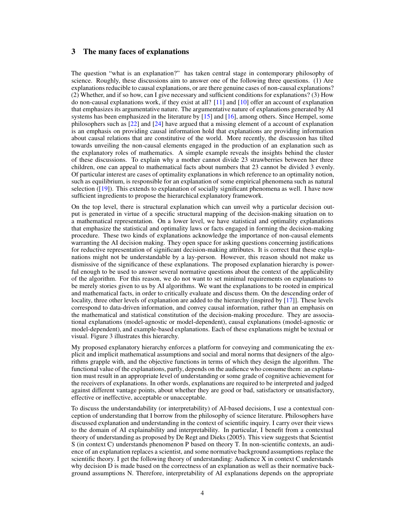## 3 The many faces of explanations

The question "what is an explanation?" has taken central stage in contemporary philosophy of science. Roughly, these discussions aim to answer one of the following three questions. (1) Are explanations reducible to causal explanations, or are there genuine cases of non-causal explanations? (2) Whether, and if so how, can I give necessary and sufficient conditions for explanations? (3) How do non-causal explanations work, if they exist at all? [\[11\]](#page-5-12) and [\[10\]](#page-4-9) offer an account of explanation that emphasizes its argumentative nature. The argumentative nature of explanations generated by AI systems has been emphasized in the literature by [\[15\]](#page-5-2) and [\[16\]](#page-5-13), among others. Since Hempel, some philosophers such as [\[22](#page-5-14)] and [\[24\]](#page-5-15) have argued that a missing element of a account of explanation is an emphasis on providing causal information hold that explanations are providing information about causal relations that are constitutive of the world. More recently, the discussion has tilted towards unveiling the non-causal elements engaged in the production of an explanation such as the explanatory roles of mathematics. A simple example reveals the insights behind the cluster of these discussions. To explain why a mother cannot divide 23 strawberries between her three children, one can appeal to mathematical facts about numbers that 23 cannot be divided 3 evenly. Of particular interest are cases of optimality explanations in which reference to an optimality notion, such as equilibrium, is responsible for an explanation of some empirical phenomena such as natural selection ([\[19\]](#page-5-4)). This extends to explanation of socially significant phenomena as well. I have now sufficient ingredients to propose the hierarchical explanatory framework.

On the top level, there is structural explanation which can unveil why a particular decision output is generated in virtue of a specific structural mapping of the decision-making situation on to a mathematical representation. On a lower level, we have statistical and optimality explanations that emphasize the statistical and optimality laws or facts engaged in forming the decision-making procedure. These two kinds of explanations acknowledge the importance of non-causal elements warranting the AI decision making. They open space for asking questions concerning justifications for reductive representation of significant decision-making attributes. It is correct that these explanations might not be understandable by a lay-person. However, this reason should not make us dismissive of the significance of these explanations. The proposed explanation hierarchy is powerful enough to be used to answer several normative questions about the context of the applicability of the algorithm. For this reason, we do not want to set minimal requirements on explanations to be merely stories given to us by AI algorithms. We want the explanations to be rooted in empirical and mathematical facts, in order to critically evaluate and discuss them. On the descending order of locality, three other levels of explanation are added to the hierarchy (inspired by [\[17\]](#page-5-6)]. These levels correspond to data-driven information, and convey causal information, rather than an emphasis on the mathematical and statistical constitution of the decision-making procedure. They are associational explanations (model-agnostic or model-dependent), causal explanations (model-agnostic or model-dependent), and example-based explanations. Each of these explanations might be textual or visual. Figure 3 illustrates this hierarchy.

My proposed explanatory hierarchy enforces a platform for conveying and communicating the explicit and implicit mathematical assumptions and social and moral norms that designers of the algorithms grapple with, and the objective functions in terms of which they design the algorithm. The functional value of the explanations, partly, depends on the audience who consume them: an explanation must result in an appropriate level of understanding or some grade of cognitive achievement for the receivers of explanations. In other words, explanations are required to be interpreted and judged against different vantage points, about whether they are good or bad, satisfactory or unsatisfactory, effective or ineffective, acceptable or unacceptable.

To discuss the understandability (or interpretability) of AI-based decisions, I use a contextual conception of understanding that I borrow from the philosophy of science literature. Philosophers have discussed explanation and understanding in the context of scientific inquiry. I carry over their views to the domain of AI explainability and interpretability. In particular, I benefit from a contextual theory of understanding as proposed by De Regt and Dieks (2005). This view suggests that Scientist S (in context C) understands phenomenon P based on theory T. In non-scientific contexts, an audience of an explanation replaces a scientist, and some normative background assumptions replace the scientific theory. I get the following theory of understanding: Audience X in context C understands why decision D is made based on the correctness of an explanation as well as their normative background assumptions N. Therefore, interpretability of AI explanations depends on the appropriate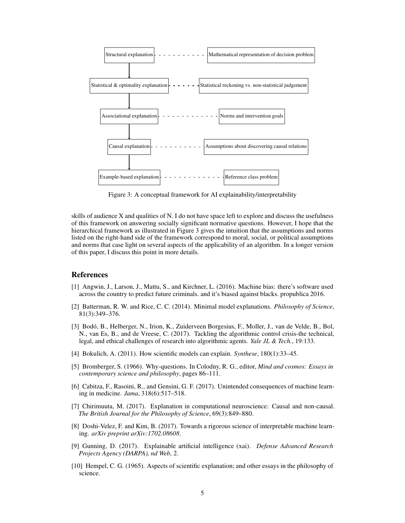

Figure 3: A conceptual framework for AI explainability/interpretability

skills of audience X and qualities of N. I do not have space left to explore and discuss the usefulness of this framework on answering socially significant normative questions. However, I hope that the hierarchical framework as illustrated in Figure 3 gives the intuition that the assumptions and norms listed on the right-hand side of the framework correspond to moral, social, or political assumptions and norms that case light on several aspects of the applicability of an algorithm. In a longer version of this paper, I discuss this point in more details.

#### References

- <span id="page-4-0"></span>[1] Angwin, J., Larson, J., Mattu, S., and Kirchner, L. (2016). Machine bias: there's software used across the country to predict future criminals. and it's biased against blacks. propublica 2016.
- <span id="page-4-4"></span>[2] Batterman, R. W. and Rice, C. C. (2014). Minimal model explanations. *Philosophy of Science*, 81(3):349–376.
- <span id="page-4-1"></span>[3] Bodó, B., Helberger, N., Irion, K., Zuiderveen Borgesius, F., Moller, J., van de Velde, B., Bol, N., van Es, B., and de Vreese, C. (2017). Tackling the algorithmic control crisis-the technical, legal, and ethical challenges of research into algorithmic agents. *Yale JL & Tech.*, 19:133.
- <span id="page-4-5"></span>[4] Bokulich, A. (2011). How scientific models can explain. *Synthese*, 180(1):33–45.
- <span id="page-4-7"></span>[5] Bromberger, S. (1966). Why-questions. In Colodny, R. G., editor, *Mind and cosmos: Essays in contemporary science and philosophy*, pages 86–111.
- <span id="page-4-2"></span>[6] Cabitza, F., Rasoini, R., and Gensini, G. F. (2017). Unintended consequences of machine learning in medicine. *Jama*, 318(6):517–518.
- <span id="page-4-6"></span>[7] Chirimuuta, M. (2017). Explanation in computational neuroscience: Causal and non-causal. *The British Journal for the Philosophy of Science*, 69(3):849–880.
- <span id="page-4-3"></span>[8] Doshi-Velez, F. and Kim, B. (2017). Towards a rigorous science of interpretable machine learning. *arXiv preprint arXiv:1702.08608*.
- <span id="page-4-8"></span>[9] Gunning, D. (2017). Explainable artificial intelligence (xai). *Defense Advanced Research Projects Agency (DARPA), nd Web*, 2.
- <span id="page-4-9"></span>[10] Hempel, C. G. (1965). Aspects of scientific explanation; and other essays in the philosophy of science.